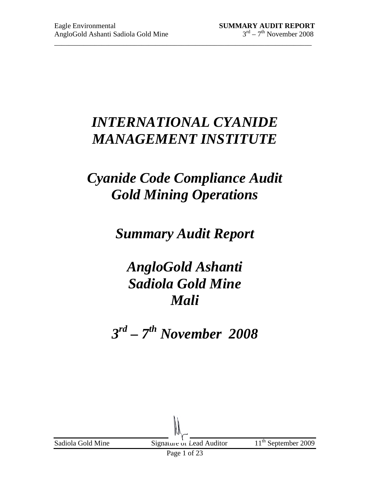# *INTERNATIONAL CYANIDE MANAGEMENT INSTITUTE*

\_\_\_\_\_\_\_\_\_\_\_\_\_\_\_\_\_\_\_\_\_\_\_\_\_\_\_\_\_\_\_\_\_\_\_\_\_\_\_\_\_\_\_\_\_\_\_\_\_\_\_\_\_\_\_\_\_\_\_\_\_\_\_\_\_\_\_\_\_\_\_

# *Cyanide Code Compliance Audit Gold Mining Operations*

# *Summary Audit Report*

# *AngloGold Ashanti Sadiola Gold Mine Mali*

*3 rd – 7th November 2008*

| Sadiola Gold Mine | Signature of Lead Auditor   | $11th$ September 2009 |
|-------------------|-----------------------------|-----------------------|
|                   | $\mathbf{D}$ 1 $\mathbf{C}$ |                       |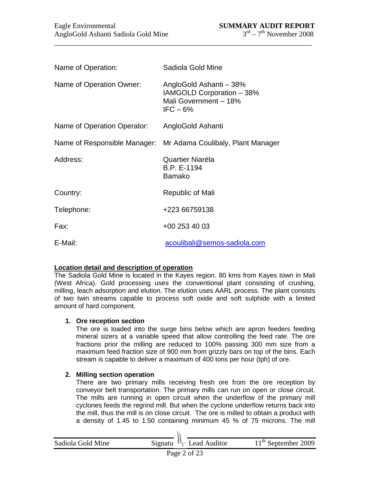| Name of Operation:           | Sadiola Gold Mine                                                                           |
|------------------------------|---------------------------------------------------------------------------------------------|
| Name of Operation Owner:     | AngloGold Ashanti - 38%<br>IAMGOLD Corporation - 38%<br>Mali Government - 18%<br>$IFC - 6%$ |
| Name of Operation Operator:  | AngloGold Ashanti                                                                           |
| Name of Responsible Manager: | Mr Adama Coulibaly, Plant Manager                                                           |
| Address:                     | Quartier Niaréla<br>B.P. E-1194<br>Bamako                                                   |
| Country:                     | Republic of Mali                                                                            |
| Telephone:                   | +223 66759138                                                                               |
| Fax:                         | +00 253 40 03                                                                               |
| E-Mail:                      | acoulibali@semos-sadiola.com                                                                |

#### **Location detail and description of operation**

The Sadiola Gold Mine is located in the Kayes region, 80 kms from Kayes town in Mali (West Africa). Gold processing uses the conventional plant consisting of crushing, milling, leach adsorption and elution. The elution uses AARL process. The plant consists of two twin streams capable to process soft oxide and soft sulphide with a limited amount of hard component.

#### **1. Ore reception section**

The ore is loaded into the surge bins below which are apron feeders feeding mineral sizers at a variable speed that allow controlling the feed rate. The ore fractions prior the milling are reduced to 100% passing 300 mm size from a maximum feed fraction size of 900 mm from grizzly bars on top of the bins. Each stream is capable to deliver a maximum of 400 tons per hour (tph) of ore.

#### **2. Milling section operation**

There are two primary mills receiving fresh ore from the ore reception by conveyor belt transportation. The primary mills can run on open or close circuit. The mills are running in open circuit when the underflow of the primary mill cyclones feeds the regrind mill. But when the cyclone underflow returns back into the mill, thus the mill is on close circuit. The ore is milled to obtain a product with a density of 1.45 to 1.50 containing minimum 45 % of 75 microns. The mill

| Sadiola Gold Mine | Signatur $\mathbb{N}_{\mathcal{C}}$ Lead Auditor | $11th$ September 2009 |
|-------------------|--------------------------------------------------|-----------------------|
|                   |                                                  |                       |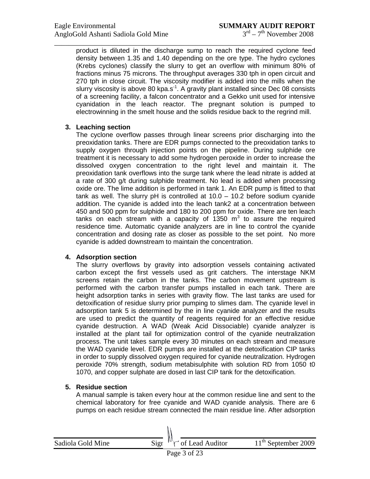product is diluted in the discharge sump to reach the required cyclone feed density between 1.35 and 1.40 depending on the ore type. The hydro cyclones (Krebs cyclones) classify the slurry to get an overflow with minimum 80% of fractions minus 75 microns. The throughput averages 330 tph in open circuit and 270 tph in close circuit. The viscosity modifier is added into the mills when the slurry viscosity is above 80 kpa.s<sup>-1</sup>. A gravity plant installed since Dec 08 consists of a screening facility, a falcon concentrator and a Gekko unit used for intensive cyanidation in the leach reactor. The pregnant solution is pumped to electrowinning in the smelt house and the solids residue back to the regrind mill.

\_\_\_\_\_\_\_\_\_\_\_\_\_\_\_\_\_\_\_\_\_\_\_\_\_\_\_\_\_\_\_\_\_\_\_\_\_\_\_\_\_\_\_\_\_\_\_\_\_\_\_\_\_\_\_\_\_\_\_\_\_\_\_\_\_\_\_\_\_\_\_

### **3. Leaching section**

The cyclone overflow passes through linear screens prior discharging into the preoxidation tanks. There are EDR pumps connected to the preoxidation tanks to supply oxygen through injection points on the pipeline. During sulphide ore treatment it is necessary to add some hydrogen peroxide in order to increase the dissolved oxygen concentration to the right level and maintain it. The preoxidation tank overflows into the surge tank where the lead nitrate is added at a rate of 300 g/t during sulphide treatment. No lead is added when processing oxide ore. The lime addition is performed in tank 1. An EDR pump is fitted to that tank as well. The slurry pH is controlled at 10.0 – 10.2 before sodium cyanide addition. The cyanide is added into the leach tank2 at a concentration between 450 and 500 ppm for sulphide and 180 to 200 ppm for oxide. There are ten leach tanks on each stream with a capacity of 1350  $m^3$  to assure the required residence time. Automatic cyanide analyzers are in line to control the cyanide concentration and dosing rate as closer as possible to the set point. No more cyanide is added downstream to maintain the concentration.

#### **4. Adsorption section**

The slurry overflows by gravity into adsorption vessels containing activated carbon except the first vessels used as grit catchers. The interstage NKM screens retain the carbon in the tanks. The carbon movement upstream is performed with the carbon transfer pumps installed in each tank. There are height adsorption tanks in series with gravity flow. The last tanks are used for detoxification of residue slurry prior pumping to slimes dam. The cyanide level in adsorption tank 5 is determined by the in line cyanide analyzer and the results are used to predict the quantity of reagents required for an effective residue cyanide destruction. A WAD (Weak Acid Dissociable) cyanide analyzer is installed at the plant tail for optimization control of the cyanide neutralization process. The unit takes sample every 30 minutes on each stream and measure the WAD cyanide level. EDR pumps are installed at the detoxification CIP tanks in order to supply dissolved oxygen required for cyanide neutralization. Hydrogen peroxide 70% strength, sodium metabisulphite with solution RD from 1050 t0 1070, and copper sulphate are dosed in last CIP tank for the detoxification.

# **5. Residue section**

A manual sample is taken every hour at the common residue line and sent to the chemical laboratory for free cyanide and WAD cyanide analysis. There are 6 pumps on each residue stream connected the main residue line. After adsorption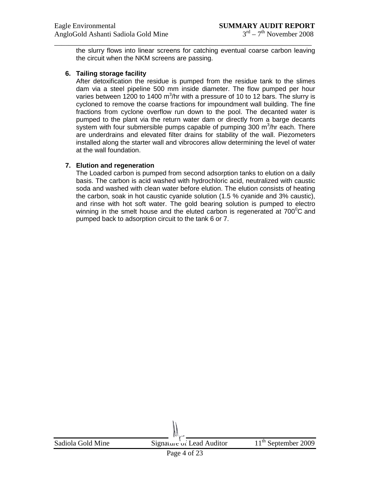the slurry flows into linear screens for catching eventual coarse carbon leaving the circuit when the NKM screens are passing.

\_\_\_\_\_\_\_\_\_\_\_\_\_\_\_\_\_\_\_\_\_\_\_\_\_\_\_\_\_\_\_\_\_\_\_\_\_\_\_\_\_\_\_\_\_\_\_\_\_\_\_\_\_\_\_\_\_\_\_\_\_\_\_\_\_\_\_\_\_\_\_

#### **6. Tailing storage facility**

After detoxification the residue is pumped from the residue tank to the slimes dam via a steel pipeline 500 mm inside diameter. The flow pumped per hour varies between 1200 to 1400 m<sup>3</sup>/hr with a pressure of 10 to 12 bars. The slurry is cycloned to remove the coarse fractions for impoundment wall building. The fine fractions from cyclone overflow run down to the pool. The decanted water is pumped to the plant via the return water dam or directly from a barge decants system with four submersible pumps capable of pumping 300 m $3/$ hr each. There are underdrains and elevated filter drains for stability of the wall. Piezometers installed along the starter wall and vibrocores allow determining the level of water at the wall foundation.

#### **7. Elution and regeneration**

The Loaded carbon is pumped from second adsorption tanks to elution on a daily basis. The carbon is acid washed with hydrochloric acid, neutralized with caustic soda and washed with clean water before elution. The elution consists of heating the carbon, soak in hot caustic cyanide solution (1.5 % cyanide and 3% caustic), and rinse with hot soft water. The gold bearing solution is pumped to electro winning in the smelt house and the eluted carbon is regenerated at  $700^{\circ}$ C and pumped back to adsorption circuit to the tank 6 or 7.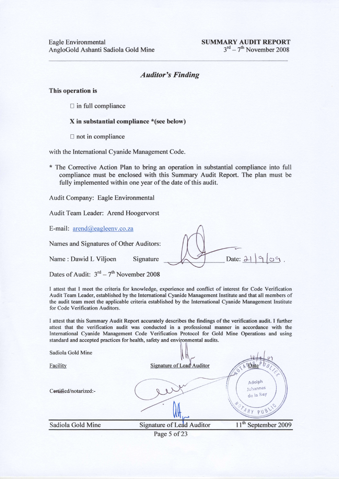#### Auditor's Finding

This operation is

 $\Box$  in full compliance

#### X in substantial compliance \*(see below)

 $\Box$  not in compliance

with the International Cyanide Management Code.

\* The Corrective Action Plan to bring an operation in substantial compliance into full compliance must be enclosed with this Summary Audit Report. The plan must be fully implemented within one year of the date of this audit.

Audit Company: Eagle Environmental

Audit Team Leader: Arend Hoogervorst

E-mail: arend@eagleenv.co.za

Names and Signatures of Other Auditors:

Name : Dawid L Viljoen Signature

Dates of Audit:  $3<sup>rd</sup> - 7<sup>th</sup>$  November 2008



I attest that I meet the criteria for knowledge, experience and conflict of interest for Code Verification Audit Team Leader, established by the International Cyanide Management Institute and that all members of the audit team meet the applicable criteria established by the International Cyanide Management Institute for Code Verification Auditors.

I attest that this Summary Audit Report accurately describes the findings of the verification audit. I further attest that the verification audit was conducted in a professional manner in accordance with the International Cyanide Management Code Verification Protocol for Gold Mine Operations and using standard and accepted practices for health, safety and environmental audits.

|                       | Page 5 of 23                     |                                           |
|-----------------------|----------------------------------|-------------------------------------------|
| Sadiola Gold Mine     | <b>Signature of Lead Auditor</b> | 11 <sup>th</sup> September 2009           |
| Certified/notarized:- |                                  | Adolph<br>Johannes<br>de la Rey<br>NUTARY |
| Facility              | <b>Signature of Lead Auditor</b> | NOTA PDate<br>U B<br>$\epsilon_{\neq}$    |
| Sadiola Gold Mine     |                                  |                                           |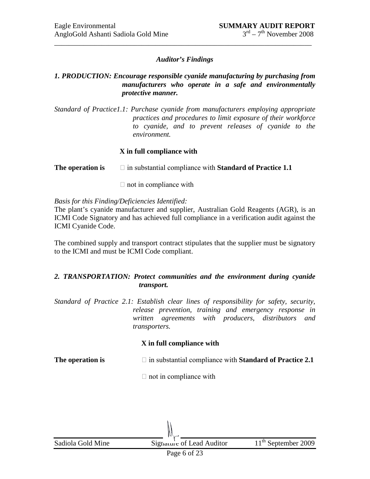# *Auditor's Findings*

\_\_\_\_\_\_\_\_\_\_\_\_\_\_\_\_\_\_\_\_\_\_\_\_\_\_\_\_\_\_\_\_\_\_\_\_\_\_\_\_\_\_\_\_\_\_\_\_\_\_\_\_\_\_\_\_\_\_\_\_\_\_\_\_\_\_\_\_\_\_\_

# *1. PRODUCTION: Encourage responsible cyanide manufacturing by purchasing from manufacturers who operate in a safe and environmentally protective manner.*

*Standard of Practice1.1: Purchase cyanide from manufacturers employing appropriate practices and procedures to limit exposure of their workforce to cyanide, and to prevent releases of cyanide to the environment.*

# **X in full compliance with**

**The operation is**  $\Box$  in substantial compliance with **Standard of Practice 1.1** 

 $\Box$  not in compliance with

*Basis for this Finding/Deficiencies Identified:*

The plant's cyanide manufacturer and supplier, Australian Gold Reagents (AGR), is an ICMI Code Signatory and has achieved full compliance in a verification audit against the ICMI Cyanide Code.

The combined supply and transport contract stipulates that the supplier must be signatory to the ICMI and must be ICMI Code compliant.

# *2. TRANSPORTATION: Protect communities and the environment during cyanide transport.*

*Standard of Practice 2.1: Establish clear lines of responsibility for safety, security, release prevention, training and emergency response in written agreements with producers, distributors and transporters.*

# **X in full compliance with**

**The operation is**  $\Box$  in substantial compliance with **Standard of Practice 2.1** 

 $\Box$  not in compliance with

Sadiola Gold Mine Signature of Lead Auditor 11<sup>th</sup> September 2009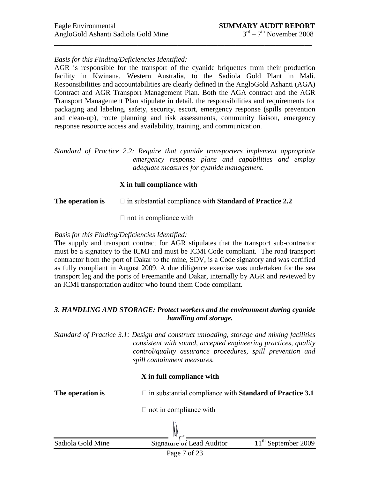# *Basis for this Finding/Deficiencies Identified:*

AGR is responsible for the transport of the cyanide briquettes from their production facility in Kwinana, Western Australia, to the Sadiola Gold Plant in Mali. Responsibilities and accountabilities are clearly defined in the AngloGold Ashanti (AGA) Contract and AGR Transport Management Plan. Both the AGA contract and the AGR Transport Management Plan stipulate in detail, the responsibilities and requirements for packaging and labeling, safety, security, escort, emergency response (spills prevention and clean-up), route planning and risk assessments, community liaison, emergency response resource access and availability, training, and communication.

\_\_\_\_\_\_\_\_\_\_\_\_\_\_\_\_\_\_\_\_\_\_\_\_\_\_\_\_\_\_\_\_\_\_\_\_\_\_\_\_\_\_\_\_\_\_\_\_\_\_\_\_\_\_\_\_\_\_\_\_\_\_\_\_\_\_\_\_\_\_\_

*Standard of Practice 2.2: Require that cyanide transporters implement appropriate emergency response plans and capabilities and employ adequate measures for cyanide management.*

# **X in full compliance with**

**The operation is**  $\Box$  in substantial compliance with **Standard of Practice 2.2** 

 $\Box$  not in compliance with

### *Basis for this Finding/Deficiencies Identified:*

The supply and transport contract for AGR stipulates that the transport sub-contractor must be a signatory to the ICMI and must be ICMI Code compliant. The road transport contractor from the port of Dakar to the mine, SDV, is a Code signatory and was certified as fully compliant in August 2009. A due diligence exercise was undertaken for the sea transport leg and the ports of Freemantle and Dakar, internally by AGR and reviewed by an ICMI transportation auditor who found them Code compliant.

# *3. HANDLING AND STORAGE: Protect workers and the environment during cyanide handling and storage.*

*Standard of Practice 3.1: Design and construct unloading, storage and mixing facilities consistent with sound, accepted engineering practices, quality control/quality assurance procedures, spill prevention and spill containment measures.*

# **X in full compliance with**

**The operation is**  $\Box$  in substantial compliance with **Standard of Practice 3.1** 

 $\Box$  not in compliance with

Sadiola Gold Mine Signature of Lead Auditor  $11<sup>th</sup>$  September 2009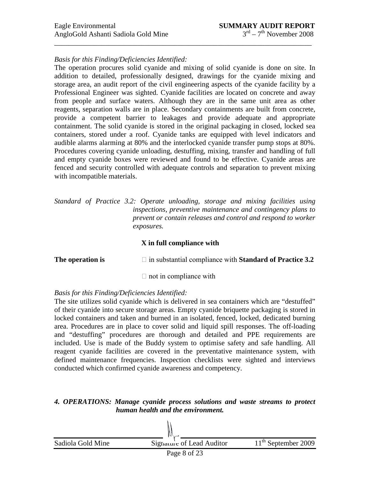# *Basis for this Finding/Deficiencies Identified:*

The operation procures solid cyanide and mixing of solid cyanide is done on site. In addition to detailed, professionally designed, drawings for the cyanide mixing and storage area, an audit report of the civil engineering aspects of the cyanide facility by a Professional Engineer was sighted. Cyanide facilities are located on concrete and away from people and surface waters. Although they are in the same unit area as other reagents, separation walls are in place. Secondary containments are built from concrete, provide a competent barrier to leakages and provide adequate and appropriate containment. The solid cyanide is stored in the original packaging in closed, locked sea containers, stored under a roof. Cyanide tanks are equipped with level indicators and audible alarms alarming at 80% and the interlocked cyanide transfer pump stops at 80%. Procedures covering cyanide unloading, destuffing, mixing, transfer and handling of full and empty cyanide boxes were reviewed and found to be effective. Cyanide areas are fenced and security controlled with adequate controls and separation to prevent mixing with incompatible materials.

*Standard of Practice 3.2: Operate unloading, storage and mixing facilities using inspections, preventive maintenance and contingency plans to prevent or contain releases and control and respond to worker exposures.*

### **X in full compliance with**

**The operation is**  $\Box$  in substantial compliance with **Standard of Practice 3.2** 

 $\Box$  not in compliance with

# *Basis for this Finding/Deficiencies Identified:*

The site utilizes solid cyanide which is delivered in sea containers which are "destuffed" of their cyanide into secure storage areas. Empty cyanide briquette packaging is stored in locked containers and taken and burned in an isolated, fenced, locked, dedicated burning area. Procedures are in place to cover solid and liquid spill responses. The off-loading and "destuffing" procedures are thorough and detailed and PPE requirements are included. Use is made of the Buddy system to optimise safety and safe handling. All reagent cyanide facilities are covered in the preventative maintenance system, with defined maintenance frequencies. Inspection checklists were sighted and interviews conducted which confirmed cyanide awareness and competency.

### *4. OPERATIONS: Manage cyanide process solutions and waste streams to protect human health and the environment.*

Sadiola Gold Mine Signature of Lead Auditor  $11<sup>th</sup>$  September 2009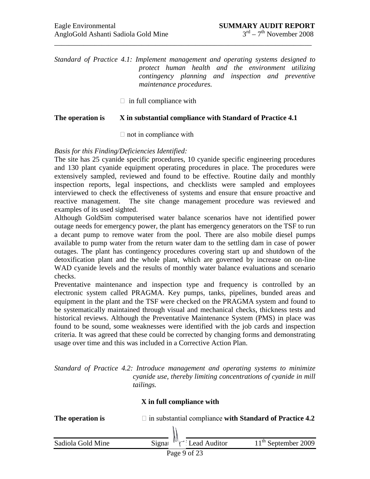*Standard of Practice 4.1: Implement management and operating systems designed to protect human health and the environment utilizing contingency planning and inspection and preventive maintenance procedures.*

\_\_\_\_\_\_\_\_\_\_\_\_\_\_\_\_\_\_\_\_\_\_\_\_\_\_\_\_\_\_\_\_\_\_\_\_\_\_\_\_\_\_\_\_\_\_\_\_\_\_\_\_\_\_\_\_\_\_\_\_\_\_\_\_\_\_\_\_\_\_\_

 $\Box$  in full compliance with

#### **The operation is X in substantial compliance with Standard of Practice 4.1**

 $\Box$  not in compliance with

### *Basis for this Finding/Deficiencies Identified:*

The site has 25 cyanide specific procedures, 10 cyanide specific engineering procedures and 130 plant cyanide equipment operating procedures in place. The procedures were extensively sampled, reviewed and found to be effective. Routine daily and monthly inspection reports, legal inspections, and checklists were sampled and employees interviewed to check the effectiveness of systems and ensure that ensure proactive and reactive management. The site change management procedure was reviewed and examples of its used sighted.

Although GoldSim computerised water balance scenarios have not identified power outage needs for emergency power, the plant has emergency generators on the TSF to run a decant pump to remove water from the pool. There are also mobile diesel pumps available to pump water from the return water dam to the settling dam in case of power outages. The plant has contingency procedures covering start up and shutdown of the detoxification plant and the whole plant, which are governed by increase on on-line WAD cyanide levels and the results of monthly water balance evaluations and scenario checks.

Preventative maintenance and inspection type and frequency is controlled by an electronic system called PRAGMA. Key pumps, tanks, pipelines, bunded areas and equipment in the plant and the TSF were checked on the PRAGMA system and found to be systematically maintained through visual and mechanical checks, thickness tests and historical reviews. Although the Preventative Maintenance System (PMS) in place was found to be sound, some weaknesses were identified with the job cards and inspection criteria. It was agreed that these could be corrected by changing forms and demonstrating usage over time and this was included in a Corrective Action Plan.

*Standard of Practice 4.2: Introduce management and operating systems to minimize cyanide use, thereby limiting concentrations of cyanide in mill tailings.*

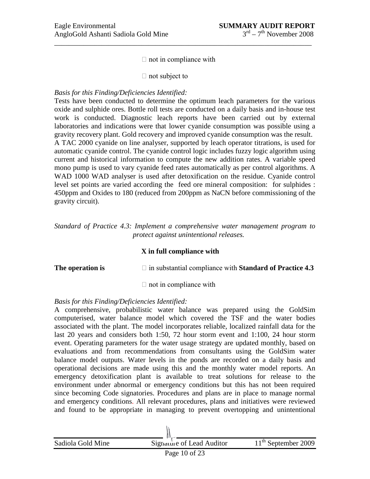$\Box$  not in compliance with

\_\_\_\_\_\_\_\_\_\_\_\_\_\_\_\_\_\_\_\_\_\_\_\_\_\_\_\_\_\_\_\_\_\_\_\_\_\_\_\_\_\_\_\_\_\_\_\_\_\_\_\_\_\_\_\_\_\_\_\_\_\_\_\_\_\_\_\_\_\_\_

 $\Box$  not subject to

#### *Basis for this Finding/Deficiencies Identified:*

Tests have been conducted to determine the optimum leach parameters for the various oxide and sulphide ores. Bottle roll tests are conducted on a daily basis and in-house test work is conducted. Diagnostic leach reports have been carried out by external laboratories and indications were that lower cyanide consumption was possible using a gravity recovery plant. Gold recovery and improved cyanide consumption was the result. A TAC 2000 cyanide on line analyser, supported by leach operator titrations, is used for automatic cyanide control. The cyanide control logic includes fuzzy logic algorithm using current and historical information to compute the new addition rates. A variable speed mono pump is used to vary cyanide feed rates automatically as per control algorithms. A WAD 1000 WAD analyser is used after detoxification on the residue. Cyanide control level set points are varied according the feed ore mineral composition: for sulphides : 450ppm and Oxides to 180 (reduced from 200ppm as NaCN before commissioning of the gravity circuit).

*Standard of Practice 4.3: Implement a comprehensive water management program to protect against unintentional releases.*

#### **X in full compliance with**

**The operation is**  $\Box$  in substantial compliance with **Standard of Practice 4.3** 

 $\Box$  not in compliance with

# *Basis for this Finding/Deficiencies Identified:*

A comprehensive, probabilistic water balance was prepared using the GoldSim computerised, water balance model which covered the TSF and the water bodies associated with the plant. The model incorporates reliable, localized rainfall data for the last 20 years and considers both 1:50, 72 hour storm event and 1:100, 24 hour storm event. Operating parameters for the water usage strategy are updated monthly, based on evaluations and from recommendations from consultants using the GoldSim water balance model outputs. Water levels in the ponds are recorded on a daily basis and operational decisions are made using this and the monthly water model reports. An emergency detoxification plant is available to treat solutions for release to the environment under abnormal or emergency conditions but this has not been required since becoming Code signatories. Procedures and plans are in place to manage normal and emergency conditions. All relevant procedures, plans and initiatives were reviewed and found to be appropriate in managing to prevent overtopping and unintentional

| Sadiola Gold Mine | Signaure of Lead Auditor | $11^{\text{th}}$ September 2009 |
|-------------------|--------------------------|---------------------------------|
| Page 10 of 23     | 11^{\text{th}}           | September 2009                  |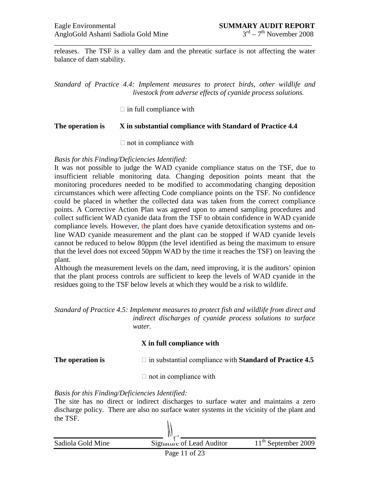releases. The TSF is a valley dam and the phreatic surface is not affecting the water balance of dam stability.

\_\_\_\_\_\_\_\_\_\_\_\_\_\_\_\_\_\_\_\_\_\_\_\_\_\_\_\_\_\_\_\_\_\_\_\_\_\_\_\_\_\_\_\_\_\_\_\_\_\_\_\_\_\_\_\_\_\_\_\_\_\_\_\_\_\_\_\_\_\_\_

*Standard of Practice 4.4: Implement measures to protect birds, other wildlife and livestock from adverse effects of cyanide process solutions.*

 $\Box$  in full compliance with

### **The operation is X in substantial compliance with Standard of Practice 4.4**

 $\Box$  not in compliance with

*Basis for this Finding/Deficiencies Identified:*

It was not possible to judge the WAD cyanide compliance status on the TSF, due to insufficient reliable monitoring data. Changing deposition points meant that the monitoring procedures needed to be modified to accommodating changing deposition circumstances which were affecting Code compliance points on the TSF. No confidence could be placed in whether the collected data was taken from the correct compliance points. A Corrective Action Plan was agreed upon to amend sampling procedures and collect sufficient WAD cyanide data from the TSF to obtain confidence in WAD cyanide compliance levels. However, the plant does have cyanide detoxification systems and online WAD cyanide measurement and the plant can be stopped if WAD cyanide levels cannot be reduced to below 80ppm (the level identified as being the maximum to ensure that the level does not exceed 50ppm WAD by the time it reaches the TSF) on leaving the plant.

Although the measurement levels on the dam, need improving, it is the auditors' opinion that the plant process controls are sufficient to keep the levels of WAD cyanide in the residues going to the TSF below levels at which they would be a risk to wildlife.

*Standard of Practice 4.5: Implement measures to protect fish and wildlife from direct and indirect discharges of cyanide process solutions to surface water.*

# **X in full compliance with**

**The operation is**  $\Box$  in substantial compliance with **Standard of Practice 4.5** 

 $\Box$  not in compliance with

*Basis for this Finding/Deficiencies Identified:*

The site has no direct or indirect discharges to surface water and maintains a zero discharge policy. There are also no surface water systems in the vicinity of the plant and the TSF.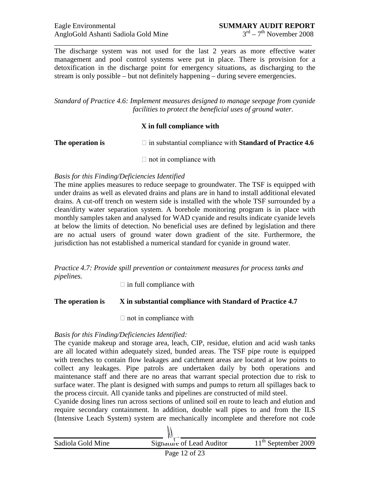The discharge system was not used for the last 2 years as more effective water management and pool control systems were put in place. There is provision for a detoxification in the discharge point for emergency situations, as discharging to the stream is only possible – but not definitely happening – during severe emergencies.

\_\_\_\_\_\_\_\_\_\_\_\_\_\_\_\_\_\_\_\_\_\_\_\_\_\_\_\_\_\_\_\_\_\_\_\_\_\_\_\_\_\_\_\_\_\_\_\_\_\_\_\_\_\_\_\_\_\_\_\_\_\_\_\_\_\_\_\_\_\_\_

*Standard of Practice 4.6: Implement measures designed to manage seepage from cyanide facilities to protect the beneficial uses of ground water.*

# **X in full compliance with**

**The operation is**  $\Box$  in substantial compliance with **Standard of Practice 4.6** 

 $\Box$  not in compliance with

#### *Basis for this Finding/Deficiencies Identified*

The mine applies measures to reduce seepage to groundwater. The TSF is equipped with under drains as well as elevated drains and plans are in hand to install additional elevated drains. A cut-off trench on western side is installed with the whole TSF surrounded by a clean/dirty water separation system. A borehole monitoring program is in place with monthly samples taken and analysed for WAD cyanide and results indicate cyanide levels at below the limits of detection. No beneficial uses are defined by legislation and there are no actual users of ground water down gradient of the site. Furthermore, the jurisdiction has not established a numerical standard for cyanide in ground water.

*Practice 4.7: Provide spill prevention or containment measures for process tanks and pipelines.*

 $\Box$  in full compliance with

#### **The operation is X in substantial compliance with Standard of Practice 4.7**

 $\Box$  not in compliance with

# *Basis for this Finding/Deficiencies Identified:*

The cyanide makeup and storage area, leach, CIP, residue, elution and acid wash tanks are all located within adequately sized, bunded areas. The TSF pipe route is equipped with trenches to contain flow leakages and catchment areas are located at low points to collect any leakages. Pipe patrols are undertaken daily by both operations and maintenance staff and there are no areas that warrant special protection due to risk to surface water. The plant is designed with sumps and pumps to return all spillages back to the process circuit. All cyanide tanks and pipelines are constructed of mild steel.

Cyanide dosing lines run across sections of unlined soil en route to leach and elution and require secondary containment. In addition, double wall pipes to and from the ILS (Intensive Leach System) system are mechanically incomplete and therefore not code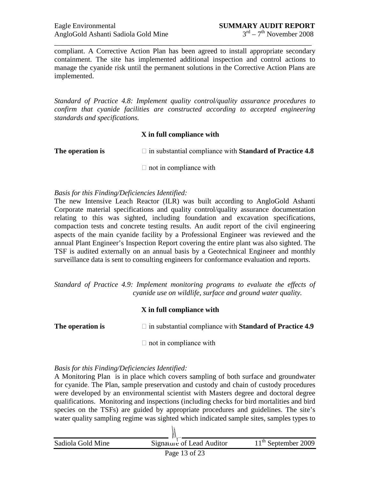compliant. A Corrective Action Plan has been agreed to install appropriate secondary containment. The site has implemented additional inspection and control actions to manage the cyanide risk until the permanent solutions in the Corrective Action Plans are implemented.

\_\_\_\_\_\_\_\_\_\_\_\_\_\_\_\_\_\_\_\_\_\_\_\_\_\_\_\_\_\_\_\_\_\_\_\_\_\_\_\_\_\_\_\_\_\_\_\_\_\_\_\_\_\_\_\_\_\_\_\_\_\_\_\_\_\_\_\_\_\_\_

*Standard of Practice 4.8: Implement quality control/quality assurance procedures to confirm that cyanide facilities are constructed according to accepted engineering standards and specifications.*

### **X in full compliance with**

**The operation is**  $\Box$  in substantial compliance with **Standard of Practice 4.8** 

 $\Box$  not in compliance with

#### *Basis for this Finding/Deficiencies Identified:*

The new Intensive Leach Reactor (ILR) was built according to AngloGold Ashanti Corporate material specifications and quality control/quality assurance documentation relating to this was sighted, including foundation and excavation specifications, compaction tests and concrete testing results. An audit report of the civil engineering aspects of the main cyanide facility by a Professional Engineer was reviewed and the annual Plant Engineer's Inspection Report covering the entire plant was also sighted. The TSF is audited externally on an annual basis by a Geotechnical Engineer and monthly surveillance data is sent to consulting engineers for conformance evaluation and reports.

*Standard of Practice 4.9: Implement monitoring programs to evaluate the effects of cyanide use on wildlife, surface and ground water quality.*

#### **X in full compliance with**

**The operation is**  $\Box$  in substantial compliance with **Standard of Practice 4.9** 

 $\Box$  not in compliance with

# *Basis for this Finding/Deficiencies Identified:*

A Monitoring Plan is in place which covers sampling of both surface and groundwater for cyanide. The Plan, sample preservation and custody and chain of custody procedures were developed by an environmental scientist with Masters degree and doctoral degree qualifications. Monitoring and inspections (including checks for bird mortalities and bird species on the TSFs) are guided by appropriate procedures and guidelines. The site's water quality sampling regime was sighted which indicated sample sites, samples types to

| Sadiola Gold Mine | Signature of Lead Auditor | $11th$ September 2009 |
|-------------------|---------------------------|-----------------------|
|                   |                           |                       |

 $\mathcal{N}$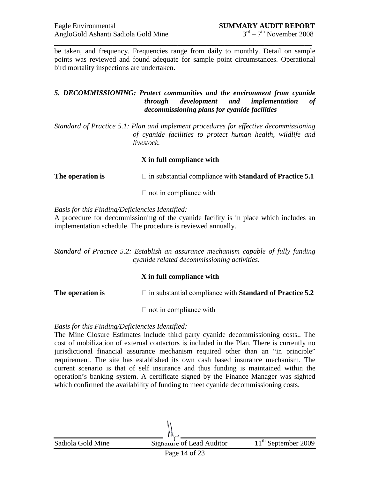be taken, and frequency. Frequencies range from daily to monthly. Detail on sample points was reviewed and found adequate for sample point circumstances. Operational bird mortality inspections are undertaken.

\_\_\_\_\_\_\_\_\_\_\_\_\_\_\_\_\_\_\_\_\_\_\_\_\_\_\_\_\_\_\_\_\_\_\_\_\_\_\_\_\_\_\_\_\_\_\_\_\_\_\_\_\_\_\_\_\_\_\_\_\_\_\_\_\_\_\_\_\_\_\_

### *5. DECOMMISSIONING: Protect communities and the environment from cyanide through development and implementation of decommissioning plans for cyanide facilities*

*Standard of Practice 5.1: Plan and implement procedures for effective decommissioning of cyanide facilities to protect human health, wildlife and livestock.*

### **X in full compliance with**

**The operation is**  $\Box$  in substantial compliance with **Standard of Practice 5.1** 

 $\Box$  not in compliance with

*Basis for this Finding/Deficiencies Identified:*

A procedure for decommissioning of the cyanide facility is in place which includes an implementation schedule. The procedure is reviewed annually.

*Standard of Practice 5.2: Establish an assurance mechanism capable of fully funding cyanide related decommissioning activities.*

# **X in full compliance with**

**The operation is**  $\Box$  in substantial compliance with **Standard of Practice 5.2** 

 $\Box$  not in compliance with

# *Basis for this Finding/Deficiencies Identified:*

The Mine Closure Estimates include third party cyanide decommissioning costs.. The cost of mobilization of external contactors is included in the Plan. There is currently no jurisdictional financial assurance mechanism required other than an "in principle" requirement. The site has established its own cash based insurance mechanism. The current scenario is that of self insurance and thus funding is maintained within the operation's banking system. A certificate signed by the Finance Manager was sighted which confirmed the availability of funding to meet cyanide decommissioning costs.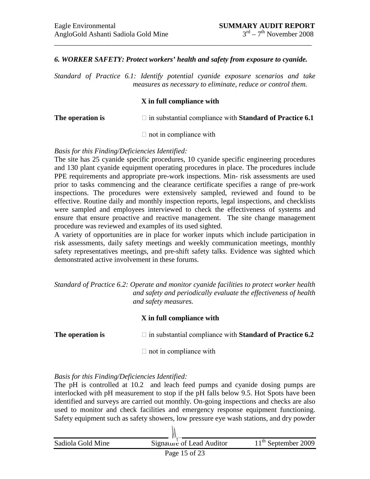#### *6. WORKER SAFETY: Protect workers' health and safety from exposure to cyanide.*

\_\_\_\_\_\_\_\_\_\_\_\_\_\_\_\_\_\_\_\_\_\_\_\_\_\_\_\_\_\_\_\_\_\_\_\_\_\_\_\_\_\_\_\_\_\_\_\_\_\_\_\_\_\_\_\_\_\_\_\_\_\_\_\_\_\_\_\_\_\_\_

*Standard of Practice 6.1: Identify potential cyanide exposure scenarios and take measures as necessary to eliminate, reduce or control them.*

#### **X in full compliance with**

**The operation is**  $\Box$  in substantial compliance with **Standard of Practice 6.1** 

 $\Box$  not in compliance with

#### *Basis for this Finding/Deficiencies Identified:*

The site has 25 cyanide specific procedures, 10 cyanide specific engineering procedures and 130 plant cyanide equipment operating procedures in place. The procedures include PPE requirements and appropriate pre-work inspections. Min- risk assessments are used prior to tasks commencing and the clearance certificate specifies a range of pre-work inspections. The procedures were extensively sampled, reviewed and found to be effective. Routine daily and monthly inspection reports, legal inspections, and checklists were sampled and employees interviewed to check the effectiveness of systems and ensure that ensure proactive and reactive management. The site change management procedure was reviewed and examples of its used sighted.

A variety of opportunities are in place for worker inputs which include participation in risk assessments, daily safety meetings and weekly communication meetings, monthly safety representatives meetings, and pre-shift safety talks. Evidence was sighted which demonstrated active involvement in these forums.

*Standard of Practice 6.2: Operate and monitor cyanide facilities to protect worker health and safety and periodically evaluate the effectiveness of health and safety measures.*

# **X in full compliance with**

**The operation is**  $\Box$  in substantial compliance with **Standard of Practice 6.2** 

 $\Box$  not in compliance with

#### *Basis for this Finding/Deficiencies Identified:*

The pH is controlled at 10.2 and leach feed pumps and cyanide dosing pumps are interlocked with pH measurement to stop if the pH falls below 9.5. Hot Spots have been identified and surveys are carried out monthly. On-going inspections and checks are also used to monitor and check facilities and emergency response equipment functioning. Safety equipment such as safety showers, low pressure eye wash stations, and dry powder

| Sadiola Gold Mine | Signature of Lead Auditor | 11 <sup>th</sup> September 2009 |
|-------------------|---------------------------|---------------------------------|
|                   |                           |                                 |

 $\mathcal{N}$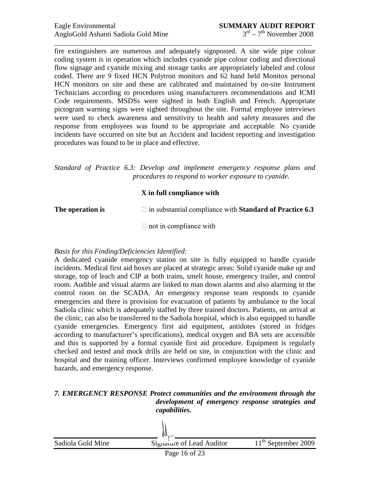fire extinguishers are numerous and adequately signposted. A site wide pipe colour coding system is in operation which includes cyanide pipe colour coding and directional flow signage and cyanide mixing and storage tanks are appropriately labeled and colour coded. There are 9 fixed HCN Polytron monitors and 62 hand held Monitox personal HCN monitors on site and these are calibrated and maintained by on-site Instrument Technicians according to procedures using manufacturers recommendations and ICMI Code requirements. MSDSs were sighted in both English and French. Appropriate pictogram warning signs were sighted throughout the site. Formal employee interviews were used to check awareness and sensitivity to health and safety measures and the response from employees was found to be appropriate and acceptable. No cyanide incidents have occurred on site but an Accident and Incident reporting and investigation procedures was found to be in place and effective.

\_\_\_\_\_\_\_\_\_\_\_\_\_\_\_\_\_\_\_\_\_\_\_\_\_\_\_\_\_\_\_\_\_\_\_\_\_\_\_\_\_\_\_\_\_\_\_\_\_\_\_\_\_\_\_\_\_\_\_\_\_\_\_\_\_\_\_\_\_\_\_

*Standard of Practice 6.3: Develop and implement emergency response plans and procedures to respond to worker exposure to cyanide.*

# **X in full compliance with**

**The operation is**  $\Box$  in substantial compliance with **Standard of Practice 6.3** 

 $\Box$  not in compliance with

# *Basis for this Finding/Deficiencies Identified:*

A dedicated cyanide emergency station on site is fully equipped to handle cyanide incidents. Medical first aid boxes are placed at strategic areas: Solid cyanide make up and storage, top of leach and CIP at both trains, smelt house, emergency trailer, and control room. Audible and visual alarms are linked to man down alarms and also alarming in the control room on the SCADA. An emergency response team responds to cyanide emergencies and there is provision for evacuation of patients by ambulance to the local Sadiola clinic which is adequately staffed by three trained doctors. Patients, on arrival at the clinic, can also be transferred to the Sadiola hospital, which is also equipped to handle cyanide emergencies. Emergency first aid equipment, antidotes (stored in fridges according to manufacturer's specifications), medical oxygen and BA sets are accessible and this is supported by a formal cyanide first aid procedure. Equipment is regularly checked and tested and mock drills are held on site, in conjunction with the clinic and hospital and the training officer. Interviews confirmed employee knowledge of cyanide hazards, and emergency response.

### *7. EMERGENCY RESPONSE Protect communities and the environment through the development of emergency response strategies and capabilities.*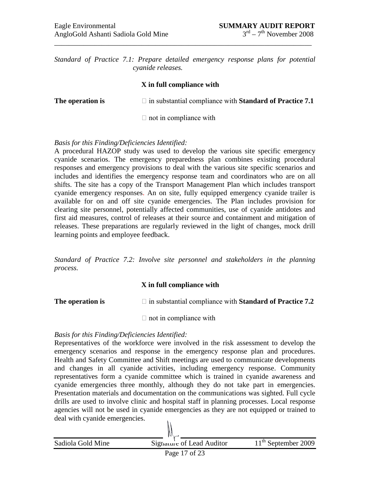*Standard of Practice 7.1: Prepare detailed emergency response plans for potential cyanide releases.*

\_\_\_\_\_\_\_\_\_\_\_\_\_\_\_\_\_\_\_\_\_\_\_\_\_\_\_\_\_\_\_\_\_\_\_\_\_\_\_\_\_\_\_\_\_\_\_\_\_\_\_\_\_\_\_\_\_\_\_\_\_\_\_\_\_\_\_\_\_\_\_

#### **X in full compliance with**

| The operation is | $\Box$ in substantial compliance with <b>Standard of Practice 7.1</b> |
|------------------|-----------------------------------------------------------------------|
|                  | $\Box$ not in compliance with                                         |

#### *Basis for this Finding/Deficiencies Identified:*

A procedural HAZOP study was used to develop the various site specific emergency cyanide scenarios. The emergency preparedness plan combines existing procedural responses and emergency provisions to deal with the various site specific scenarios and includes and identifies the emergency response team and coordinators who are on all shifts. The site has a copy of the Transport Management Plan which includes transport cyanide emergency responses. An on site, fully equipped emergency cyanide trailer is available for on and off site cyanide emergencies. The Plan includes provision for clearing site personnel, potentially affected communities, use of cyanide antidotes and first aid measures, control of releases at their source and containment and mitigation of releases. These preparations are regularly reviewed in the light of changes, mock drill learning points and employee feedback.

*Standard of Practice 7.2: Involve site personnel and stakeholders in the planning process.*

# **X in full compliance with**

**The operation is**  $\Box$  in substantial compliance with **Standard of Practice 7.2** 

 $\Box$  not in compliance with

#### *Basis for this Finding/Deficiencies Identified:*

Representatives of the workforce were involved in the risk assessment to develop the emergency scenarios and response in the emergency response plan and procedures. Health and Safety Committee and Shift meetings are used to communicate developments and changes in all cyanide activities, including emergency response. Community representatives form a cyanide committee which is trained in cyanide awareness and cyanide emergencies three monthly, although they do not take part in emergencies. Presentation materials and documentation on the communications was sighted. Full cycle drills are used to involve clinic and hospital staff in planning processes. Local response agencies will not be used in cyanide emergencies as they are not equipped or trained to deal with cyanide emergencies.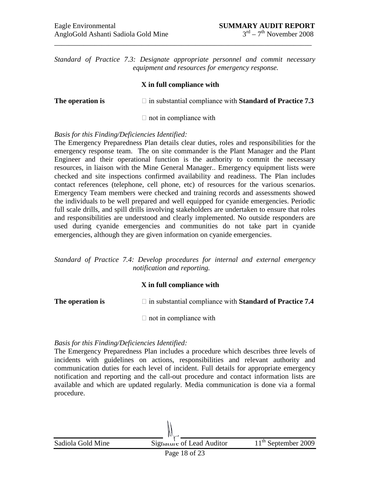*Standard of Practice 7.3: Designate appropriate personnel and commit necessary equipment and resources for emergency response.*

\_\_\_\_\_\_\_\_\_\_\_\_\_\_\_\_\_\_\_\_\_\_\_\_\_\_\_\_\_\_\_\_\_\_\_\_\_\_\_\_\_\_\_\_\_\_\_\_\_\_\_\_\_\_\_\_\_\_\_\_\_\_\_\_\_\_\_\_\_\_\_

#### **X in full compliance with**

**The operation is**  $\Box$  in substantial compliance with **Standard of Practice 7.3** 

 $\Box$  not in compliance with

#### *Basis for this Finding/Deficiencies Identified:*

The Emergency Preparedness Plan details clear duties, roles and responsibilities for the emergency response team. The on site commander is the Plant Manager and the Plant Engineer and their operational function is the authority to commit the necessary resources, in liaison with the Mine General Manager.. Emergency equipment lists were checked and site inspections confirmed availability and readiness. The Plan includes contact references (telephone, cell phone, etc) of resources for the various scenarios. Emergency Team members were checked and training records and assessments showed the individuals to be well prepared and well equipped for cyanide emergencies. Periodic full scale drills, and spill drills involving stakeholders are undertaken to ensure that roles and responsibilities are understood and clearly implemented. No outside responders are used during cyanide emergencies and communities do not take part in cyanide emergencies, although they are given information on cyanide emergencies.

*Standard of Practice 7.4: Develop procedures for internal and external emergency notification and reporting.*

#### **X in full compliance with**

**The operation is**  $\Box$  in substantial compliance with **Standard of Practice 7.4** 

 $\Box$  not in compliance with

#### *Basis for this Finding/Deficiencies Identified:*

The Emergency Preparedness Plan includes a procedure which describes three levels of incidents with guidelines on actions, responsibilities and relevant authority and communication duties for each level of incident. Full details for appropriate emergency notification and reporting and the call-out procedure and contact information lists are available and which are updated regularly. Media communication is done via a formal procedure.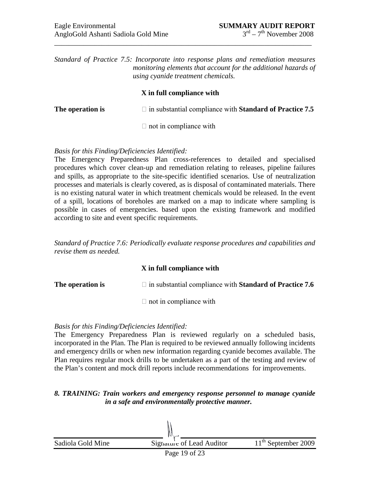*Standard of Practice 7.5: Incorporate into response plans and remediation measures monitoring elements that account for the additional hazards of using cyanide treatment chemicals.*

\_\_\_\_\_\_\_\_\_\_\_\_\_\_\_\_\_\_\_\_\_\_\_\_\_\_\_\_\_\_\_\_\_\_\_\_\_\_\_\_\_\_\_\_\_\_\_\_\_\_\_\_\_\_\_\_\_\_\_\_\_\_\_\_\_\_\_\_\_\_\_

#### **X in full compliance with**

**The operation is**  $\Box$  in substantial compliance with **Standard of Practice 7.5** 

 $\Box$  not in compliance with

### *Basis for this Finding/Deficiencies Identified:*

The Emergency Preparedness Plan cross-references to detailed and specialised procedures which cover clean-up and remediation relating to releases, pipeline failures and spills, as appropriate to the site-specific identified scenarios. Use of neutralization processes and materials is clearly covered, as is disposal of contaminated materials. There is no existing natural water in which treatment chemicals would be released. In the event of a spill, locations of boreholes are marked on a map to indicate where sampling is possible in cases of emergencies. based upon the existing framework and modified according to site and event specific requirements.

*Standard of Practice 7.6: Periodically evaluate response procedures and capabilities and revise them as needed.*

# **X in full compliance with**

**The operation is**  $\Box$  in substantial compliance with **Standard of Practice 7.6** 

 $\Box$  not in compliance with

#### *Basis for this Finding/Deficiencies Identified:*

The Emergency Preparedness Plan is reviewed regularly on a scheduled basis, incorporated in the Plan. The Plan is required to be reviewed annually following incidents and emergency drills or when new information regarding cyanide becomes available. The Plan requires regular mock drills to be undertaken as a part of the testing and review of the Plan's content and mock drill reports include recommendations for improvements.

# *8. TRAINING: Train workers and emergency response personnel to manage cyanide in a safe and environmentally protective manner.*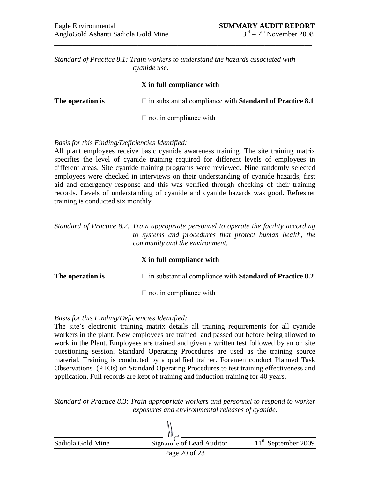*Standard of Practice 8.1: Train workers to understand the hazards associated with cyanide use.*

#### **X in full compliance with**

\_\_\_\_\_\_\_\_\_\_\_\_\_\_\_\_\_\_\_\_\_\_\_\_\_\_\_\_\_\_\_\_\_\_\_\_\_\_\_\_\_\_\_\_\_\_\_\_\_\_\_\_\_\_\_\_\_\_\_\_\_\_\_\_\_\_\_\_\_\_\_

| The operation is | $\Box$ in substantial compliance with <b>Standard of Practice 8.1</b> |
|------------------|-----------------------------------------------------------------------|
|                  | $\Box$ not in compliance with                                         |

#### *Basis for this Finding/Deficiencies Identified:*

All plant employees receive basic cyanide awareness training. The site training matrix specifies the level of cyanide training required for different levels of employees in different areas. Site cyanide training programs were reviewed. Nine randomly selected employees were checked in interviews on their understanding of cyanide hazards, first aid and emergency response and this was verified through checking of their training records. Levels of understanding of cyanide and cyanide hazards was good. Refresher training is conducted six monthly.

*Standard of Practice 8.2: Train appropriate personnel to operate the facility according to systems and procedures that protect human health, the community and the environment.*

#### **X in full compliance with**

**The operation is**  $\Box$  in substantial compliance with **Standard of Practice 8.2** 

 $\Box$  not in compliance with

#### *Basis for this Finding/Deficiencies Identified:*

The site's electronic training matrix details all training requirements for all cyanide workers in the plant. New employees are trained and passed out before being allowed to work in the Plant. Employees are trained and given a written test followed by an on site questioning session. Standard Operating Procedures are used as the training source material. Training is conducted by a qualified trainer. Foremen conduct Planned Task Observations (PTOs) on Standard Operating Procedures to test training effectiveness and application. Full records are kept of training and induction training for 40 years.

*Standard of Practice 8.3*: *Train appropriate workers and personnel to respond to worker exposures and environmental releases of cyanide.*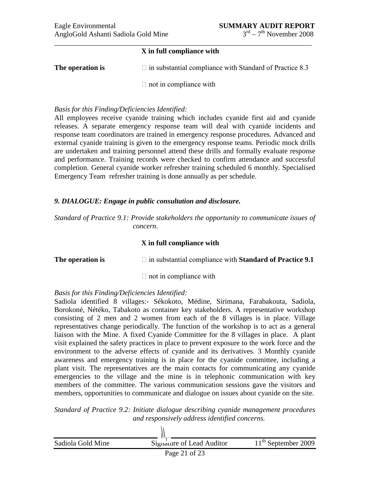#### **X in full compliance with**

**The operation is**  $\Box$  in substantial compliance with Standard of Practice 8.3

 $\Box$  not in compliance with

#### *Basis for this Finding/Deficiencies Identified:*

All employees receive cyanide training which includes cyanide first aid and cyanide releases. A separate emergency response team will deal with cyanide incidents and response team coordinators are trained in emergency response procedures. Advanced and external cyanide training is given to the emergency response teams. Periodic mock drills are undertaken and training personnel attend these drills and formally evaluate response and performance. Training records were checked to confirm attendance and successful completion. General cyanide worker refresher training scheduled 6 monthly. Specialised Emergency Team refresher training is done annually as per schedule.

# *9. DIALOGUE: Engage in public consultation and disclosure.*

*Standard of Practice 9.1: Provide stakeholders the opportunity to communicate issues of concern.*

### **X in full compliance with**

**The operation is**  $\Box$  in substantial compliance with **Standard of Practice 9.1** 

 $\Box$  not in compliance with

# *Basis for this Finding/Deficiencies Identified:*

Sadiola identified 8 villages:- Sékokoto, Médine, Sirimana, Farabakouta, Sadiola, Borokoné, Nétéko, Tabakoto as container key stakeholders. A representative workshop consisting of 2 men and 2 women from each of the 8 villages is in place. Village representatives change periodically. The function of the workshop is to act as a general liaison with the Mine. A fixed Cyanide Committee for the 8 villages in place. A plant visit explained the safety practices in place to prevent exposure to the work force and the environment to the adverse effects of cyanide and its derivatives. 3 Monthly cyanide awareness and emergency training is in place for the cyanide committee, including a plant visit. The representatives are the main contacts for communicating any cyanide emergencies to the village and the mine is in telephonic communication with key members of the committee. The various communication sessions gave the visitors and members, opportunities to communicate and dialogue on issues about cyanide on the site.

*Standard of Practice 9.2: Initiate dialogue describing cyanide management procedures and responsively address identified concerns.*

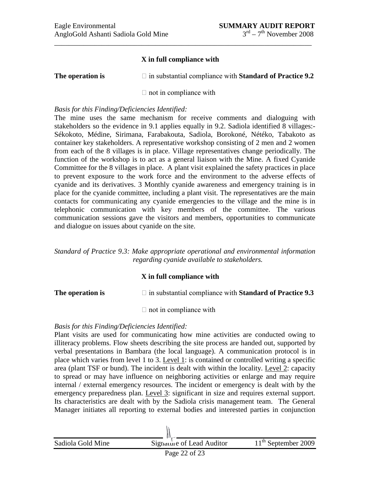### **X in full compliance with**

\_\_\_\_\_\_\_\_\_\_\_\_\_\_\_\_\_\_\_\_\_\_\_\_\_\_\_\_\_\_\_\_\_\_\_\_\_\_\_\_\_\_\_\_\_\_\_\_\_\_\_\_\_\_\_\_\_\_\_\_\_\_\_\_\_\_\_\_\_\_\_

| The operation is | $\Box$ in substantial compliance with <b>Standard of Practice 9.2</b> |
|------------------|-----------------------------------------------------------------------|
|------------------|-----------------------------------------------------------------------|

 $\Box$  not in compliance with

#### *Basis for this Finding/Deficiencies Identified:*

The mine uses the same mechanism for receive comments and dialoguing with stakeholders so the evidence in 9.1 applies equally in 9.2. Sadiola identified 8 villages:- Sékokoto, Médine, Sirimana, Farabakouta, Sadiola, Borokoné, Nétéko, Tabakoto as container key stakeholders. A representative workshop consisting of 2 men and 2 women from each of the 8 villages is in place. Village representatives change periodically. The function of the workshop is to act as a general liaison with the Mine. A fixed Cyanide Committee for the 8 villages in place. A plant visit explained the safety practices in place to prevent exposure to the work force and the environment to the adverse effects of cyanide and its derivatives. 3 Monthly cyanide awareness and emergency training is in place for the cyanide committee, including a plant visit. The representatives are the main contacts for communicating any cyanide emergencies to the village and the mine is in telephonic communication with key members of the committee. The various communication sessions gave the visitors and members, opportunities to communicate and dialogue on issues about cyanide on the site.

*Standard of Practice 9.3: Make appropriate operational and environmental information regarding cyanide available to stakeholders.*

# **X in full compliance with**

**The operation is**  $\Box$  in substantial compliance with **Standard of Practice 9.3** 

 $\Box$  not in compliance with

#### *Basis for this Finding/Deficiencies Identified:*

Plant visits are used for communicating how mine activities are conducted owing to illiteracy problems. Flow sheets describing the site process are handed out, supported by verbal presentations in Bambara (the local language). A communication protocol is in place which varies from level 1 to 3. Level 1: is contained or controlled writing a specific area (plant TSF or bund). The incident is dealt with within the locality. Level 2: capacity to spread or may have influence on neighboring activities or enlarge and may require internal / external emergency resources. The incident or emergency is dealt with by the emergency preparedness plan. Level 3: significant in size and requires external support. Its characteristics are dealt with by the Sadiola crisis management team. The General Manager initiates all reporting to external bodies and interested parties in conjunction